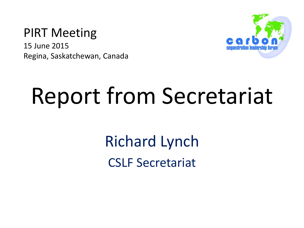#### PIRT Meeting

15 June 2015 Regina, Saskatchewan, Canada



# Report from Secretariat

Richard Lynch CSLF Secretariat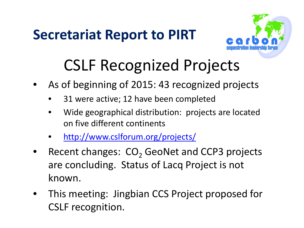

## CSLF Recognized Projects

- As of beginning of 2015: 43 recognized projects
	- 31 were active; 12 have been completed
	- Wide geographical distribution: projects are located on five different continents
	- <http://www.cslforum.org/projects/>
- Recent changes:  $CO<sub>2</sub>$  GeoNet and CCP3 projects are concluding. Status of Lacq Project is not known.
- This meeting: Jingbian CCS Project proposed for CSLF recognition.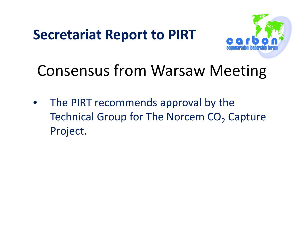

## Consensus from Warsaw Meeting

• The PIRT recommends approval by the Technical Group for The Norcem CO<sub>2</sub> Capture Project.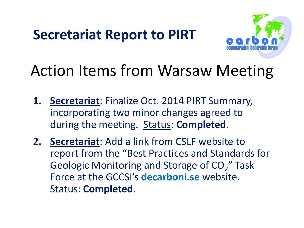

## Action Items from Warsaw Meeting

- **1. Secretariat**: Finalize Oct. 2014 PIRT Summary, incorporating two minor changes agreed to during the meeting. Status: **Completed**.
- **2. Secretariat**: Add a link from CSLF website to report from the "Best Practices and Standards for Geologic Monitoring and Storage of CO<sub>2</sub>" Task Force at the GCCSI's **decarboni.se** website. Status: **Completed**.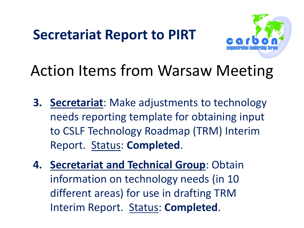

## Action Items from Warsaw Meeting

- **3. Secretariat**: Make adjustments to technology needs reporting template for obtaining input to CSLF Technology Roadmap (TRM) Interim Report. Status: **Completed**.
- **4. Secretariat and Technical Group**: Obtain information on technology needs (in 10 different areas) for use in drafting TRM Interim Report. Status: **Completed**.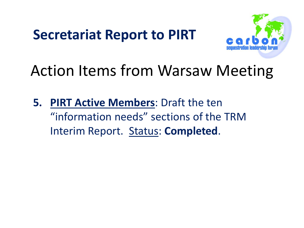

## Action Items from Warsaw Meeting

**5. PIRT Active Members**: Draft the ten "information needs" sections of the TRM Interim Report. Status: **Completed**.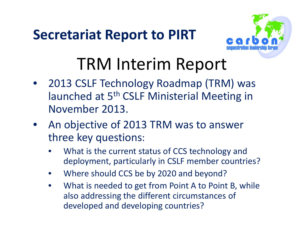

## TRM Interim Report

- 2013 CSLF Technology Roadmap (TRM) was launched at 5<sup>th</sup> CSLF Ministerial Meeting in November 2013.
- An objective of 2013 TRM was to answer three key questions:
	- What is the current status of CCS technology and deployment, particularly in CSLF member countries?
	- Where should CCS be by 2020 and beyond?
	- What is needed to get from Point A to Point B, while also addressing the different circumstances of developed and developing countries?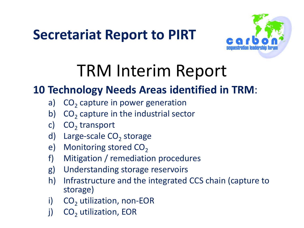

## TRM Interim Report

#### **10 Technology Needs Areas identified in TRM**:

- a)  $CO<sub>2</sub>$  capture in power generation
- b)  $CO<sub>2</sub>$  capture in the industrial sector
- c)  $CO<sub>2</sub>$  transport
- d) Large-scale  $CO<sub>2</sub>$  storage
- e) Monitoring stored  $CO<sub>2</sub>$
- f) Mitigation / remediation procedures
- g) Understanding storage reservoirs
- h) Infrastructure and the integrated CCS chain (capture to storage)
- i)  $CO<sub>2</sub>$  utilization, non-EOR
- j)  $CO<sub>2</sub>$  utilization, EOR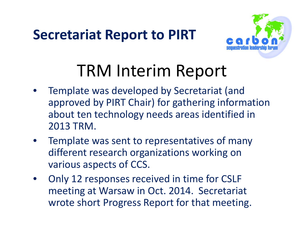

## TRM Interim Report

- Template was developed by Secretariat (and approved by PIRT Chair) for gathering information about ten technology needs areas identified in 2013 TRM.
- Template was sent to representatives of many different research organizations working on various aspects of CCS.
- Only 12 responses received in time for CSLF meeting at Warsaw in Oct. 2014. Secretariat wrote short Progress Report for that meeting.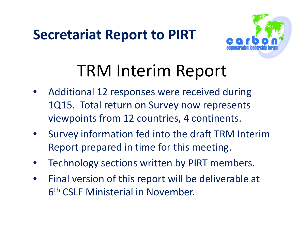

## TRM Interim Report

- Additional 12 responses were received during 1Q15. Total return on Survey now represents viewpoints from 12 countries, 4 continents.
- Survey information fed into the draft TRM Interim Report prepared in time for this meeting.
- Technology sections written by PIRT members.
- Final version of this report will be deliverable at 6th CSLF Ministerial in November.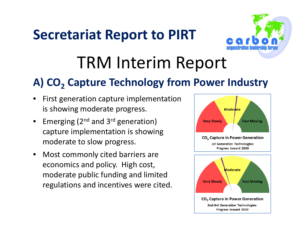

## TRM Interim Report

#### A) CO<sub>2</sub> Capture Technology from Power Industry

- First generation capture implementation is showing moderate progress.
- Emerging ( $2^{nd}$  and  $3^{rd}$  generation) capture implementation is showing moderate to slow progress.
- Most commonly cited barriers are economics and policy. High cost, moderate public funding and limited regulations and incentives were cited.

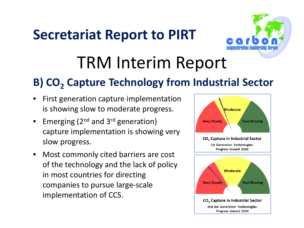

## TRM Interim Report

#### **B) CO<sub>2</sub> Capture Technology from Industrial Sector**

- First generation capture implementation is showing slow to moderate progress.
- Emerging ( $2^{nd}$  and  $3^{rd}$  generation) capture implementation is showing very slow progress.
- Most commonly cited barriers are cost of the technology and the lack of policy in most countries for directing companies to pursue large-scale implementation of CCS.

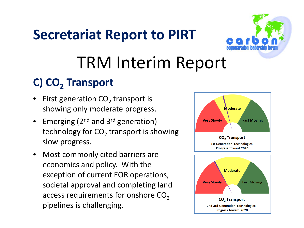

## TRM Interim Report

#### **C) CO<sub>2</sub> Transport**

- First generation  $CO<sub>2</sub>$  transport is showing only moderate progress.
- Emerging ( $2^{nd}$  and  $3^{rd}$  generation) technology for  $CO<sub>2</sub>$  transport is showing slow progress.
- Most commonly cited barriers are economics and policy. With the exception of current EOR operations, societal approval and completing land access requirements for onshore  $CO<sub>2</sub>$ pipelines is challenging.

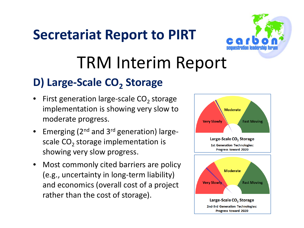

## TRM Interim Report

#### **D) Large-Scale CO<sub>2</sub> Storage**

- First generation large-scale  $CO<sub>2</sub>$  storage implementation is showing very slow to moderate progress.
- Emerging ( $2^{nd}$  and  $3^{rd}$  generation) largescale  $CO<sub>2</sub>$  storage implementation is showing very slow progress.
- Most commonly cited barriers are policy (e.g., uncertainty in long-term liability) and economics (overall cost of a project rather than the cost of storage).

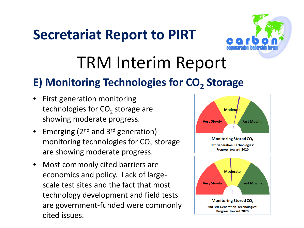

## TRM Interim Report

#### **E) Monitoring Technologies for CO<sub>2</sub> Storage**

- First generation monitoring technologies for  $CO<sub>2</sub>$  storage are showing moderate progress.
- Emerging ( $2^{nd}$  and  $3^{rd}$  generation) monitoring technologies for  $CO<sub>2</sub>$  storage are showing moderate progress.
- Most commonly cited barriers are economics and policy. Lack of largescale test sites and the fact that most technology development and field tests are government-funded were commonly cited issues.

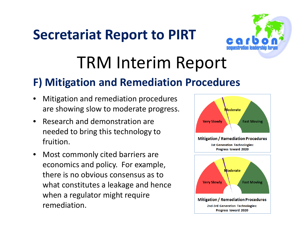

## TRM Interim Report

#### **F) Mitigation and Remediation Procedures**

- Mitigation and remediation procedures are showing slow to moderate progress.
- Research and demonstration are needed to bring this technology to fruition.
- Most commonly cited barriers are economics and policy. For example, there is no obvious consensus as to what constitutes a leakage and hence when a regulator might require remediation.

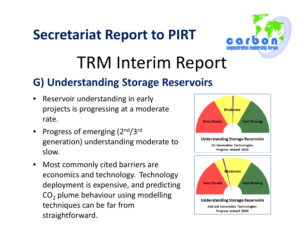

## TRM Interim Report

#### **G) Understanding Storage Reservoirs**

- Reservoir understanding in early projects is progressing at a moderate rate.
- Progress of emerging (2nd/3rd generation) understanding moderate to slow.
- Most commonly cited barriers are economics and technology. Technology deployment is expensive, and predicting  $CO<sub>2</sub>$  plume behaviour using modelling techniques can be far from straightforward.

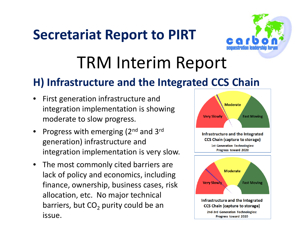

## TRM Interim Report

#### **H) Infrastructure and the Integrated CCS Chain**

- First generation infrastructure and integration implementation is showing moderate to slow progress.
- Progress with emerging  $(2^{nd}$  and 3<sup>rd</sup> generation) infrastructure and integration implementation is very slow.
- The most commonly cited barriers are lack of policy and economics, including finance, ownership, business cases, risk allocation, etc. No major technical barriers, but  $CO<sub>2</sub>$  purity could be an issue.

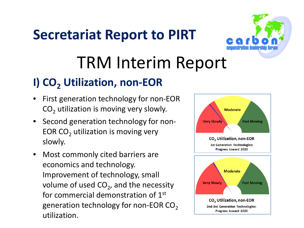

## TRM Interim Report

#### **I) CO<sub>2</sub> Utilization, non-EOR**

- First generation technology for non-EOR  $CO<sub>2</sub>$  utilization is moving very slowly.
- Second generation technology for non-EOR  $CO<sub>2</sub>$  utilization is moving very slowly.
- Most commonly cited barriers are economics and technology. Improvement of technology, small volume of used  $CO<sub>2</sub>$ , and the necessity for commercial demonstration of 1st generation technology for non-EOR  $CO<sub>2</sub>$ utilization.

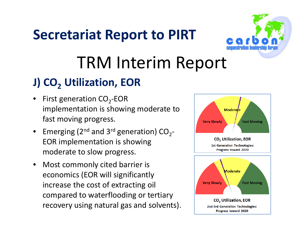

## TRM Interim Report

#### **J) CO<sub>2</sub>** Utilization, EOR

- First generation  $CO<sub>2</sub>$ -EOR implementation is showing moderate to fast moving progress.
- Emerging (2<sup>nd</sup> and 3<sup>rd</sup> generation)  $CO_{2}$ -EOR implementation is showing moderate to slow progress.
- Most commonly cited barrier is economics (EOR will significantly increase the cost of extracting oil compared to waterflooding or tertiary recovery using natural gas and solvents).

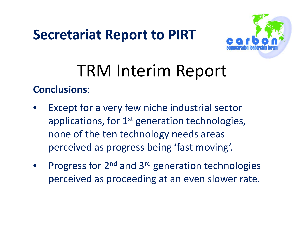

## TRM Interim Report

#### **Conclusions**:

- Except for a very few niche industrial sector applications, for  $1<sup>st</sup>$  generation technologies, none of the ten technology needs areas perceived as progress being 'fast moving'.
- Progress for  $2^{nd}$  and  $3^{rd}$  generation technologies perceived as proceeding at an even slower rate.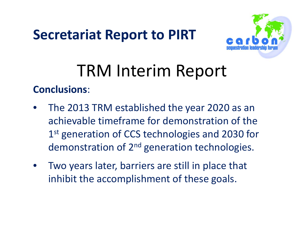

## TRM Interim Report

#### **Conclusions**:

- The 2013 TRM established the year 2020 as an achievable timeframe for demonstration of the 1<sup>st</sup> generation of CCS technologies and 2030 for demonstration of 2<sup>nd</sup> generation technologies.
- Two years later, barriers are still in place that inhibit the accomplishment of these goals.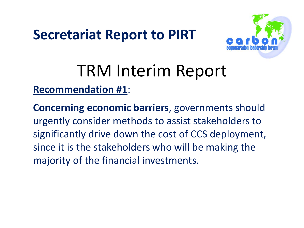

## TRM Interim Report

**Recommendation #1**:

**Concerning economic barriers**, governments should urgently consider methods to assist stakeholders to significantly drive down the cost of CCS deployment, since it is the stakeholders who will be making the majority of the financial investments.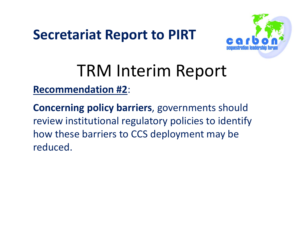

## TRM Interim Report

**Recommendation #2**:

**Concerning policy barriers**, governments should review institutional regulatory policies to identify how these barriers to CCS deployment may be reduced.